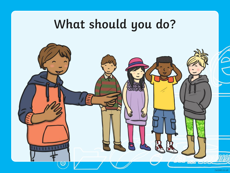# **What should you do?**

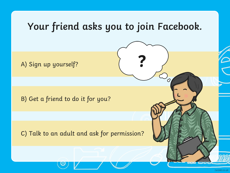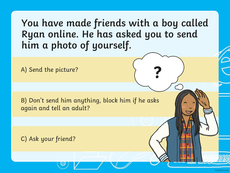**You have made friends with a boy called Ryan online. He has asked you to send him a photo of yourself.**

**?**

A) Send the picture?

B) Don't send him anything, block him if he asks again and tell an adult?

C) Ask your friend?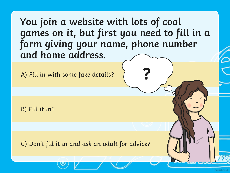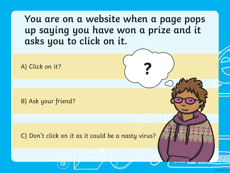**You are on a website when a page pops up saying you have won a prize and it asks you to click on it.**

**?**

A) Click on it?

B) Ask your friend?

C) Don't click on it as it could be a nasty virus?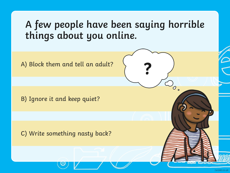## **A few people have been saying horrible things about you online.**

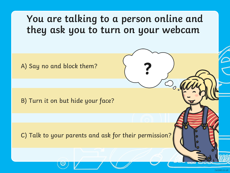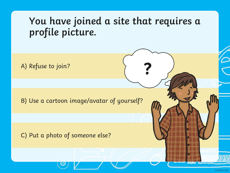### **You have joined a site that requires a profile picture.**

**?**

A) Refuse to join?

B) Use a cartoon image/avatar of yourself?

#### C) Put a photo of someone else?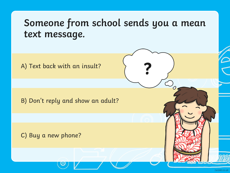### **Someone from school sends you a mean text message.**

**?**

A) Text back with an insult?

B) Don't reply and show an adult?

C) Buy a new phone?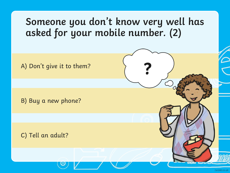### **Someone you don't know very well has asked for your mobile number. (2)**

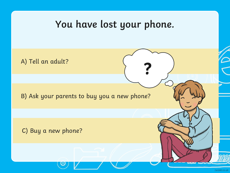### **You have lost your phone.**